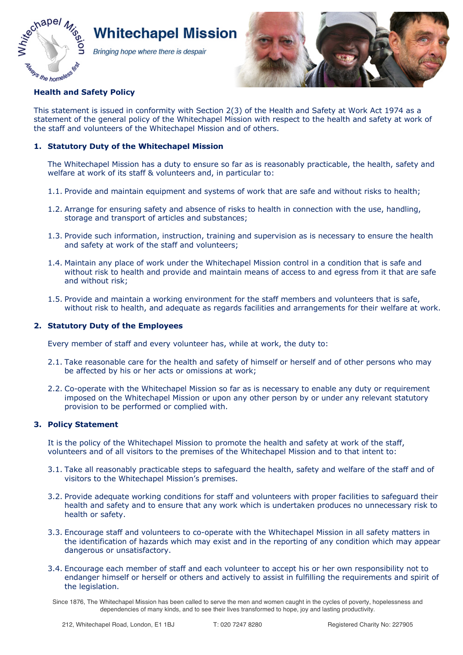

# **Whitechapel Mission**

Bringing hope where there is despair



# **Health and Safety Policy**

This statement is issued in conformity with Section 2(3) of the Health and Safety at Work Act 1974 as a statement of the general policy of the Whitechapel Mission with respect to the health and safety at work of the staff and volunteers of the Whitechapel Mission and of others.

# **1. Statutory Duty of the Whitechapel Mission**

The Whitechapel Mission has a duty to ensure so far as is reasonably practicable, the health, safety and welfare at work of its staff & volunteers and, in particular to:

- 1.1. Provide and maintain equipment and systems of work that are safe and without risks to health;
- 1.2. Arrange for ensuring safety and absence of risks to health in connection with the use, handling, storage and transport of articles and substances;
- 1.3. Provide such information, instruction, training and supervision as is necessary to ensure the health and safety at work of the staff and volunteers;
- 1.4. Maintain any place of work under the Whitechapel Mission control in a condition that is safe and without risk to health and provide and maintain means of access to and egress from it that are safe and without risk;
- 1.5. Provide and maintain a working environment for the staff members and volunteers that is safe, without risk to health, and adequate as regards facilities and arrangements for their welfare at work.

# **2. Statutory Duty of the Employees**

Every member of staff and every volunteer has, while at work, the duty to:

- 2.1. Take reasonable care for the health and safety of himself or herself and of other persons who may be affected by his or her acts or omissions at work;
- 2.2. Co-operate with the Whitechapel Mission so far as is necessary to enable any duty or requirement imposed on the Whitechapel Mission or upon any other person by or under any relevant statutory provision to be performed or complied with.

## **3. Policy Statement**

It is the policy of the Whitechapel Mission to promote the health and safety at work of the staff, volunteers and of all visitors to the premises of the Whitechapel Mission and to that intent to:

- 3.1. Take all reasonably practicable steps to safeguard the health, safety and welfare of the staff and of visitors to the Whitechapel Mission's premises.
- 3.2. Provide adequate working conditions for staff and volunteers with proper facilities to safeguard their health and safety and to ensure that any work which is undertaken produces no unnecessary risk to health or safety.
- 3.3. Encourage staff and volunteers to co-operate with the Whitechapel Mission in all safety matters in the identification of hazards which may exist and in the reporting of any condition which may appear dangerous or unsatisfactory.
- 3.4. Encourage each member of staff and each volunteer to accept his or her own responsibility not to endanger himself or herself or others and actively to assist in fulfilling the requirements and spirit of the legislation.
- Since 1876, The Whitechapel Mission has been called to serve the men and women caught in the cycles of poverty, hopelessness and dependencies of many kinds, and to see their lives transformed to hope, joy and lasting productivity.